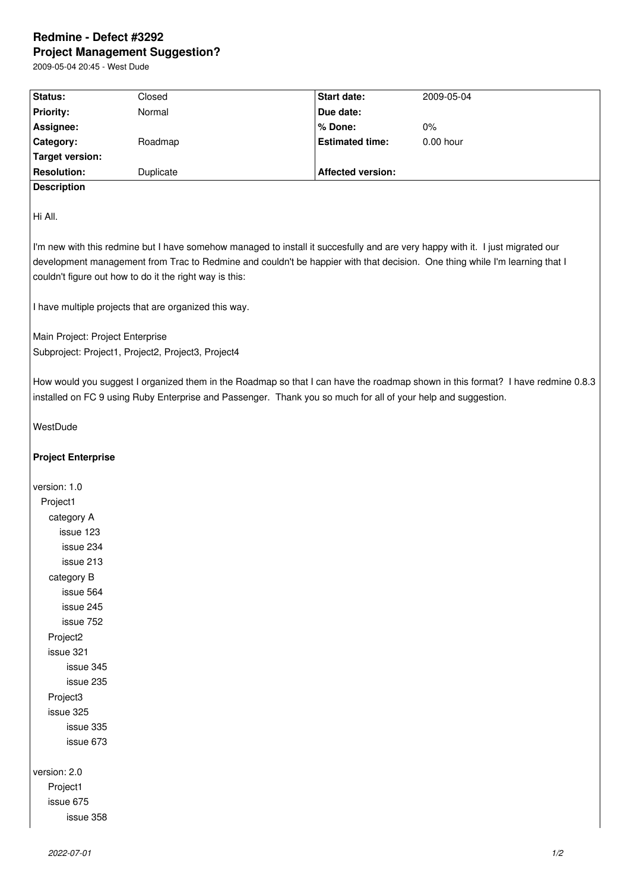## **Redmine - Defect #3292 Project Management Suggestion?**

| Status:                          | Closed                                                  | Start date:                                                                                                                    | 2009-05-04                                                                                                                      |
|----------------------------------|---------------------------------------------------------|--------------------------------------------------------------------------------------------------------------------------------|---------------------------------------------------------------------------------------------------------------------------------|
| <b>Priority:</b>                 | Normal                                                  | Due date:                                                                                                                      |                                                                                                                                 |
| Assignee:                        |                                                         | % Done:                                                                                                                        | 0%                                                                                                                              |
| Category:                        | Roadmap                                                 | <b>Estimated time:</b>                                                                                                         | $0.00$ hour                                                                                                                     |
| <b>Target version:</b>           |                                                         |                                                                                                                                |                                                                                                                                 |
| <b>Resolution:</b>               | Duplicate                                               | <b>Affected version:</b>                                                                                                       |                                                                                                                                 |
| <b>Description</b>               |                                                         |                                                                                                                                |                                                                                                                                 |
|                                  |                                                         |                                                                                                                                |                                                                                                                                 |
| Hi All.                          |                                                         |                                                                                                                                |                                                                                                                                 |
|                                  |                                                         |                                                                                                                                |                                                                                                                                 |
|                                  |                                                         | I'm new with this redmine but I have somehow managed to install it succesfully and are very happy with it. I just migrated our |                                                                                                                                 |
|                                  |                                                         |                                                                                                                                | development management from Trac to Redmine and couldn't be happier with that decision. One thing while I'm learning that I     |
|                                  | couldn't figure out how to do it the right way is this: |                                                                                                                                |                                                                                                                                 |
|                                  |                                                         |                                                                                                                                |                                                                                                                                 |
|                                  | I have multiple projects that are organized this way.   |                                                                                                                                |                                                                                                                                 |
| Main Project: Project Enterprise |                                                         |                                                                                                                                |                                                                                                                                 |
|                                  | Subproject: Project1, Project2, Project3, Project4      |                                                                                                                                |                                                                                                                                 |
|                                  |                                                         |                                                                                                                                |                                                                                                                                 |
|                                  |                                                         |                                                                                                                                | How would you suggest I organized them in the Roadmap so that I can have the roadmap shown in this format? I have redmine 0.8.3 |
|                                  |                                                         | installed on FC 9 using Ruby Enterprise and Passenger. Thank you so much for all of your help and suggestion.                  |                                                                                                                                 |
|                                  |                                                         |                                                                                                                                |                                                                                                                                 |
| WestDude                         |                                                         |                                                                                                                                |                                                                                                                                 |
|                                  |                                                         |                                                                                                                                |                                                                                                                                 |
| <b>Project Enterprise</b>        |                                                         |                                                                                                                                |                                                                                                                                 |
|                                  |                                                         |                                                                                                                                |                                                                                                                                 |
| version: 1.0                     |                                                         |                                                                                                                                |                                                                                                                                 |
| Project1                         |                                                         |                                                                                                                                |                                                                                                                                 |
| category A                       |                                                         |                                                                                                                                |                                                                                                                                 |
| issue 123                        |                                                         |                                                                                                                                |                                                                                                                                 |
| issue 234                        |                                                         |                                                                                                                                |                                                                                                                                 |
| issue 213                        |                                                         |                                                                                                                                |                                                                                                                                 |
| category B                       |                                                         |                                                                                                                                |                                                                                                                                 |
| issue 564<br>issue 245           |                                                         |                                                                                                                                |                                                                                                                                 |
| issue 752                        |                                                         |                                                                                                                                |                                                                                                                                 |
| Project <sub>2</sub>             |                                                         |                                                                                                                                |                                                                                                                                 |
| issue 321                        |                                                         |                                                                                                                                |                                                                                                                                 |
| issue 345                        |                                                         |                                                                                                                                |                                                                                                                                 |
| issue 235                        |                                                         |                                                                                                                                |                                                                                                                                 |
| Project3                         |                                                         |                                                                                                                                |                                                                                                                                 |
| issue 325                        |                                                         |                                                                                                                                |                                                                                                                                 |
| issue 335                        |                                                         |                                                                                                                                |                                                                                                                                 |
| issue 673                        |                                                         |                                                                                                                                |                                                                                                                                 |
|                                  |                                                         |                                                                                                                                |                                                                                                                                 |
| version: 2.0                     |                                                         |                                                                                                                                |                                                                                                                                 |
| Drain <sub>1</sub>               |                                                         |                                                                                                                                |                                                                                                                                 |

Project1 issue 675 issue 358